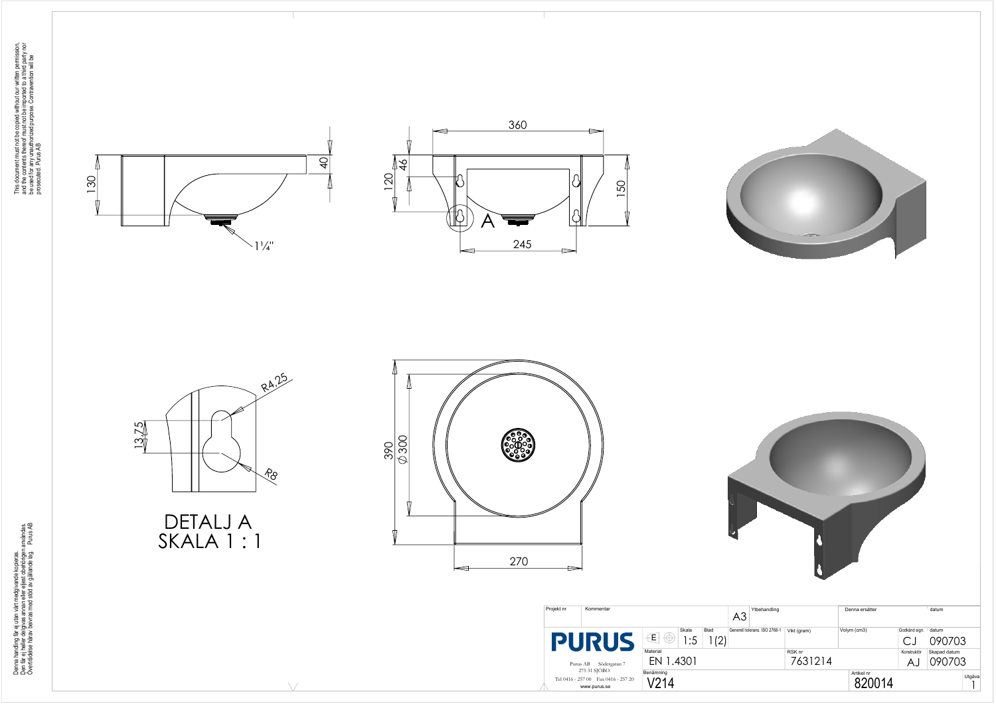







DETALJ A SKALA 1 : 1

 $\setminus$ 

This document must not be copied without our written permission,<br>and the contents thereof must not be imported to a third party nor<br>be used for any unauthorized purpose. Contravention will be<br>prosecuted. Purus AB This document must not be copied without our written permission, and the contents thereof must not be imported to a third party nor be used for any unauthorized purpose. Contravention will be prosecuted. Purus AB